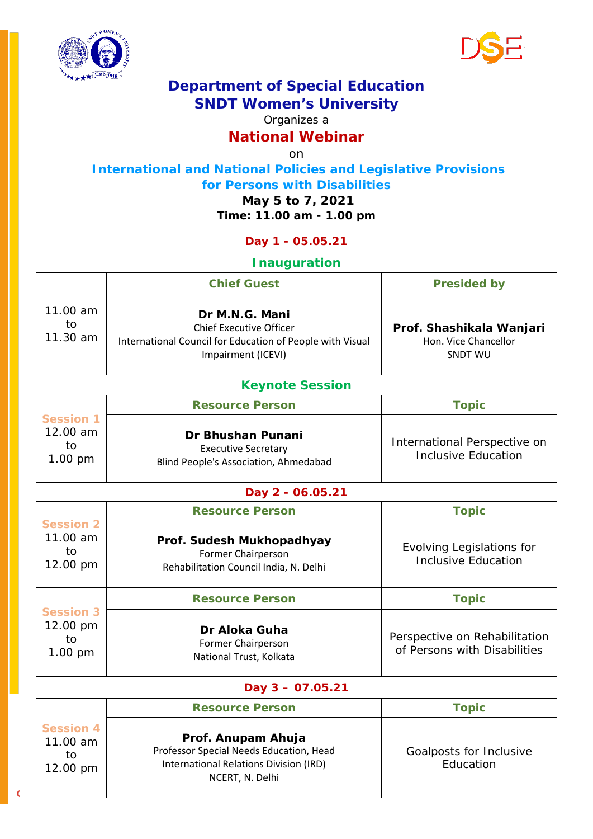



# **Department of Special Education**

## **SNDT Women's University**

#### Organizes a

### **National Webinar**

on

#### **International and National Policies and Legislative Provisions for Persons with Disabilities**

**May 5 to 7, 2021 Time: 11.00 am - 1.00 pm**

| Day 1 - 05.05.21                               |                                                                                                                                     |                                                                    |  |
|------------------------------------------------|-------------------------------------------------------------------------------------------------------------------------------------|--------------------------------------------------------------------|--|
| <b>Inauguration</b>                            |                                                                                                                                     |                                                                    |  |
|                                                | <b>Chief Guest</b>                                                                                                                  | <b>Presided by</b>                                                 |  |
| 11.00 am<br>to<br>11.30 am                     | Dr M.N.G. Mani<br><b>Chief Executive Officer</b><br>International Council for Education of People with Visual<br>Impairment (ICEVI) | Prof. Shashikala Wanjari<br>Hon. Vice Chancellor<br><b>SNDT WU</b> |  |
| <b>Keynote Session</b>                         |                                                                                                                                     |                                                                    |  |
|                                                | <b>Resource Person</b>                                                                                                              | <b>Topic</b>                                                       |  |
| <b>Session 1</b><br>12.00 am<br>to<br>1.00 pm  | Dr Bhushan Punani<br><b>Executive Secretary</b><br>Blind People's Association, Ahmedabad                                            | International Perspective on<br><b>Inclusive Education</b>         |  |
| Day 2 - 06.05.21                               |                                                                                                                                     |                                                                    |  |
|                                                | <b>Resource Person</b>                                                                                                              | <b>Topic</b>                                                       |  |
| <b>Session 2</b><br>11.00 am<br>to<br>12.00 pm | Prof. Sudesh Mukhopadhyay<br>Former Chairperson<br>Rehabilitation Council India, N. Delhi                                           | Evolving Legislations for<br><b>Inclusive Education</b>            |  |
| <b>Session 3</b><br>12.00 pm<br>to<br>1.00 pm  | <b>Resource Person</b>                                                                                                              | <b>Topic</b>                                                       |  |
|                                                | Dr Aloka Guha<br>Former Chairperson<br>National Trust, Kolkata                                                                      | Perspective on Rehabilitation<br>of Persons with Disabilities      |  |
| Day 3 - 07.05.21                               |                                                                                                                                     |                                                                    |  |
|                                                | <b>Resource Person</b>                                                                                                              | <b>Topic</b>                                                       |  |
| <b>Session 4</b><br>11.00 am<br>to<br>12.00 pm | Prof. Anupam Ahuja<br>Professor Special Needs Education, Head<br>International Relations Division (IRD)<br>NCERT, N. Delhi          | Goalposts for Inclusive<br>Education                               |  |

C